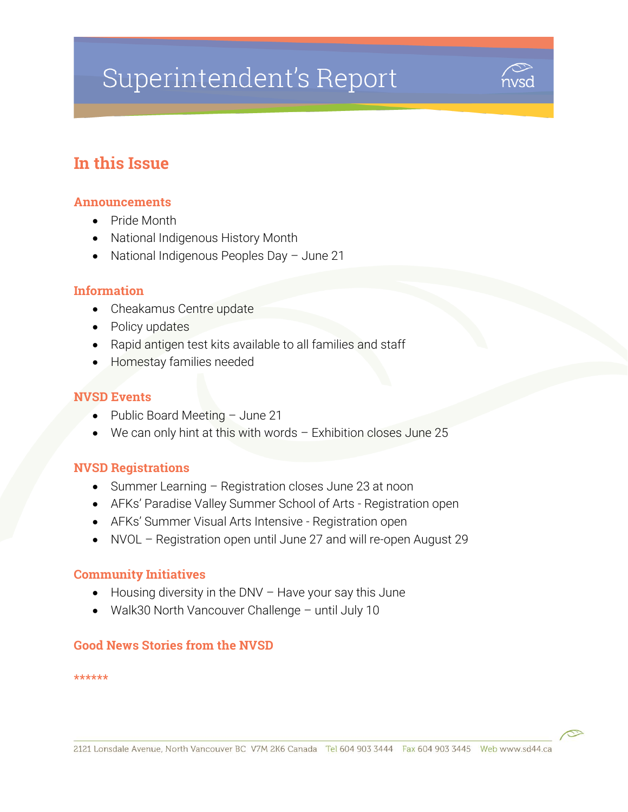# Superintendent's Report



# In this Issue

#### Announcements

- Pride Month
- National Indigenous History Month
- National Indigenous Peoples Day June 21

#### **Information**

- Cheakamus Centre update
- Policy updates
- Rapid antigen test kits available to all families and staff
- Homestay families needed

#### NVSD Events

- Public Board Meeting June 21
- We can only hint at this with words Exhibition closes June 25

#### NVSD Registrations

- Summer Learning Registration closes June 23 at noon
- AFKs' Paradise Valley Summer School of Arts Registration open
- AFKs' Summer Visual Arts Intensive Registration open
- NVOL Registration open until June 27 and will re-open August 29

#### Community Initiatives

- $\bullet$  Housing diversity in the DNV Have your say this June
- Walk30 North Vancouver Challenge until July 10

#### Good News Stories from the NVSD

\*\*\*\*\*\*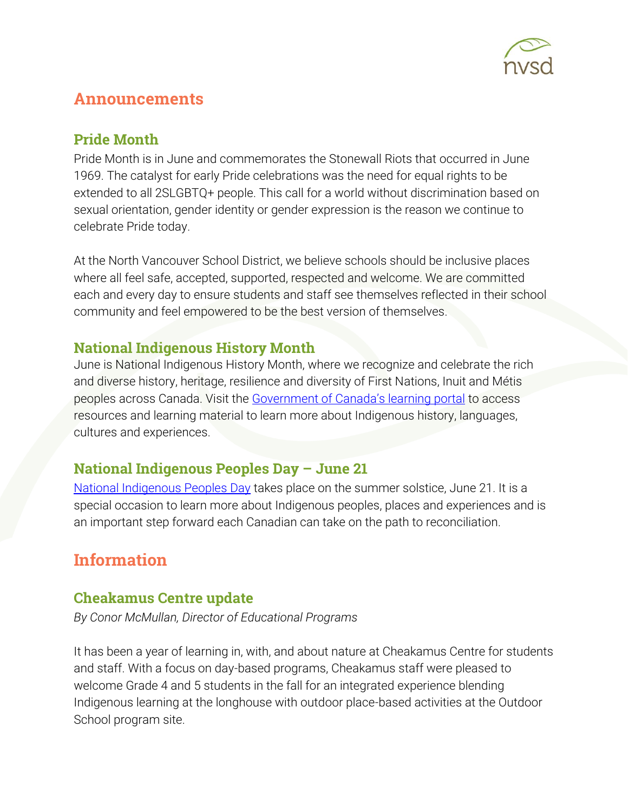

# Announcements

#### Pride Month

Pride Month is in June and commemorates the Stonewall Riots that occurred in June 1969. The catalyst for early Pride celebrations was the need for equal rights to be extended to all 2SLGBTQ+ people. This call for a world without discrimination based on sexual orientation, gender identity or gender expression is the reason we continue to celebrate Pride today.

At the North Vancouver School District, we believe schools should be inclusive places where all feel safe, accepted, supported, respected and welcome. We are committed each and every day to ensure students and staff see themselves reflected in their school community and feel empowered to be the best version of themselves.

## National Indigenous History Month

June is National Indigenous History Month, where we recognize and celebrate the rich and diverse history, heritage, resilience and diversity of First Nations, Inuit and Métis peoples across Canada. Visit the [Government of Canada's learning portal](https://www.rcaanc-cirnac.gc.ca/eng/1466616436543/1534874922512) to access resources and learning material to learn more about Indigenous history, languages, cultures and experiences.

## National Indigenous Peoples Day – June 21

[National Indigenous Peoples Day](https://www.canada.ca/en/canadian-heritage/campaigns/celebrate-canada/indigenous-peoples-day.html) takes place on the summer solstice, June 21. It is a special occasion to learn more about Indigenous peoples, places and experiences and is an important step forward each Canadian can take on the path to reconciliation.

# **Information**

#### Cheakamus Centre update

*By Conor McMullan, Director of Educational Programs*

It has been a year of learning in, with, and about nature at Cheakamus Centre for students and staff. With a focus on day-based programs, Cheakamus staff were pleased to welcome Grade 4 and 5 students in the fall for an integrated experience blending Indigenous learning at the longhouse with outdoor place-based activities at the Outdoor School program site.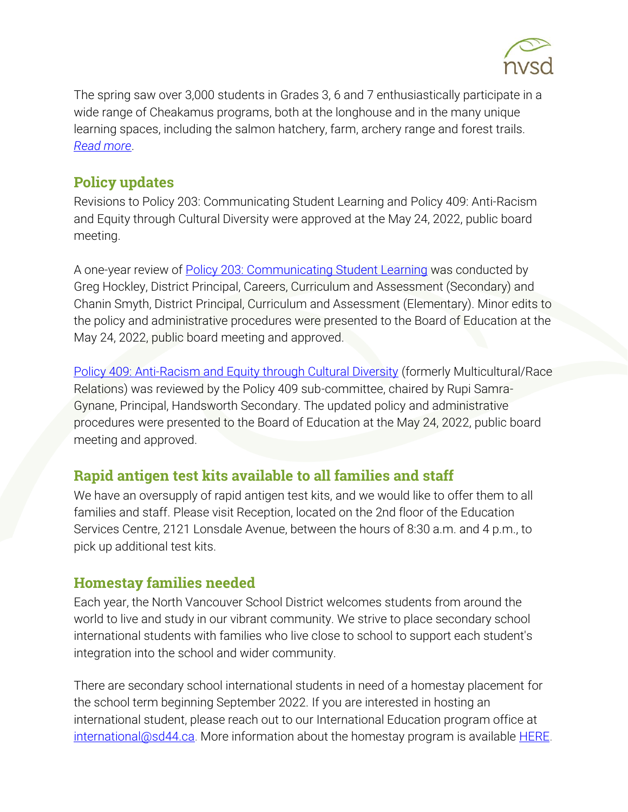

The spring saw over 3,000 students in Grades 3, 6 and 7 enthusiastically participate in a wide range of Cheakamus programs, both at the longhouse and in the many unique learning spaces, including the salmon hatchery, farm, archery range and forest trails. *[Read more](https://www.sd44.ca/District/LearnShareGrow/default.aspx#/view/705)*.

## Policy updates

Revisions to Policy 203: Communicating Student Learning and Policy 409: Anti-Racism and Equity through Cultural Diversity were approved at the May 24, 2022, public board meeting.

A one-year review of [Policy 203: Communicating Student Learning](https://www.sd44.ca/Board/PoliciesProcedures/Series200/Policy203/Pages/default.aspx#/=) was conducted by Greg Hockley, District Principal, Careers, Curriculum and Assessment (Secondary) and Chanin Smyth, District Principal, Curriculum and Assessment (Elementary). Minor edits to the policy and administrative procedures were presented to the Board of Education at the May 24, 2022, public board meeting and approved.

[Policy 409: Anti-Racism and Equity through Cultural Diversity](https://www.sd44.ca/Board/PoliciesProcedures/Series400/Policy409/Pages/default.aspx#/=) (formerly Multicultural/Race Relations) was reviewed by the Policy 409 sub-committee, chaired by Rupi Samra-Gynane, Principal, Handsworth Secondary. The updated policy and administrative procedures were presented to the Board of Education at the May 24, 2022, public board meeting and approved.

#### Rapid antigen test kits available to all families and staff

We have an oversupply of rapid antigen test kits, and we would like to offer them to all families and staff. Please visit Reception, located on the 2nd floor of the Education Services Centre, 2121 Lonsdale Avenue, between the hours of 8:30 a.m. and 4 p.m., to pick up additional test kits.

## Homestay families needed

Each year, the North Vancouver School District welcomes students from around the world to live and study in our vibrant community. We strive to place secondary school international students with families who live close to school to support each student's integration into the school and wider community.

There are secondary school international students in need of a homestay placement for the school term beginning September 2022. If you are interested in hosting an international student, please reach out to our International Education program office at [international@sd44.ca.](mailto:international@sd44.ca) More information about the homestay program is available [HERE.](https://www.sd44.ca/ProgramsServices/InternationalEd/Homestay%20Information/Pages/default.aspx#/=)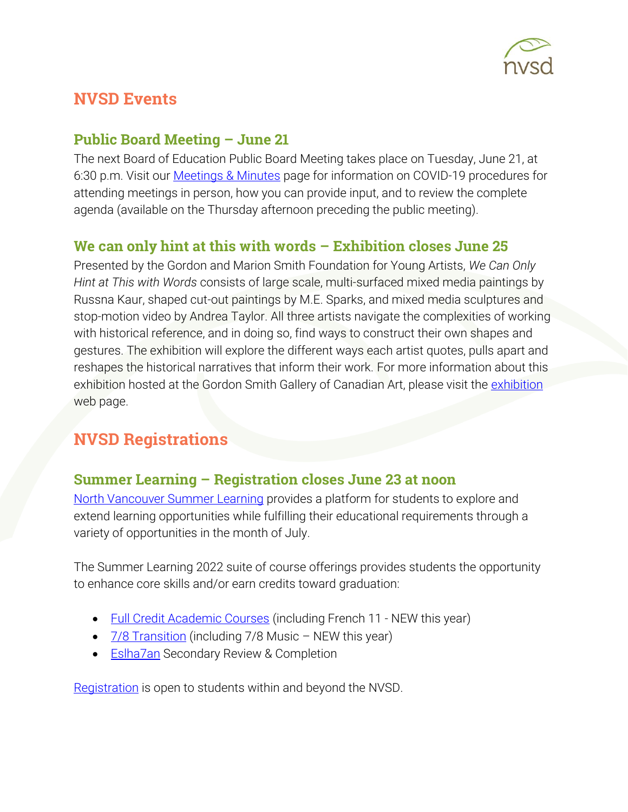

# **NVSD Events**

#### **Public Board Meeting – June 21**

The next Board of Education Public Board Meeting takes place on Tuesday, June 21, at 6:30 p.m. Visit our [Meetings & Minutes](https://www.sd44.ca/Board/Meetings/Pages/default.aspx#/=) page for information on COVID-19 procedures for attending meetings in person, how you can provide input, and to review the complete agenda (available on the Thursday afternoon preceding the public meeting).

## We can only hint at this with words – Exhibition closes June 25

Presented by the Gordon and Marion Smith Foundation for Young Artists, *We Can Only Hint at This with Words* consists of large scale, multi-surfaced mixed media paintings by Russna Kaur, shaped cut-out paintings by M.E. Sparks, and mixed media sculptures and stop-motion video by Andrea Taylor. All three artists navigate the complexities of working with historical reference, and in doing so, find ways to construct their own shapes and gestures. The exhibition will explore the different ways each artist quotes, pulls apart and reshapes the historical narratives that inform their work. For more information about this exhibition hosted at the Gordon Smith Gallery of Canadian Art, please visit the [exhibition](https://www.sd44.ca/school/artistsforkids/Visit/Exhibitions/Pages/default.aspx#/=) web page.

# NVSD Registrations

#### Summer Learning – Registration closes June 23 at noon

[North Vancouver Summer Learning](https://www.sd44.ca/school/summer/Pages/default.aspx#/=) provides a platform for students to explore and extend learning opportunities while fulfilling their educational requirements through a variety of opportunities in the month of July.

The Summer Learning 2022 suite of course offerings provides students the opportunity to enhance core skills and/or earn credits toward graduation:

- [Full Credit Academic Courses](https://www.sd44.ca/school/summer/ProgramsServices/FullCredit/Pages/default.aspx#/=) (including French 11 NEW this year)
- [7/8 Transition](https://www.sd44.ca/school/summer/ProgramsServices/Grade78TransitionCourses/Pages/default.aspx#/=) (including 7/8 Music NEW this year)
- **[Eslha7an](https://www.sd44.ca/school/summer/ProgramsServices/Pages/Eslha7an.aspx#/=) Secondary Review & Completion**

[Registration](https://www.sd44.ca/school/summer/Registration/Pages/default.aspx#/=) is open to students within and beyond the NVSD.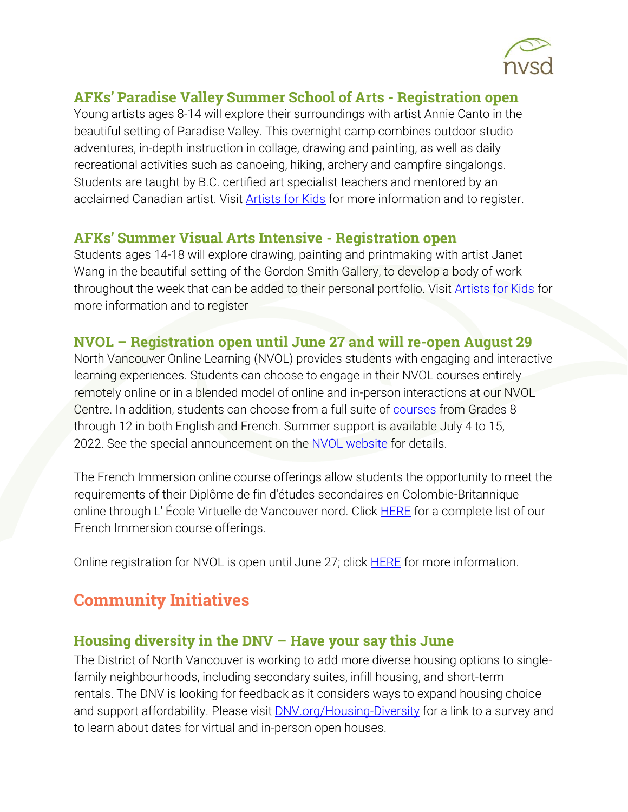

#### AFKs' Paradise Valley Summer School of Arts - Registration open

Young artists ages 8-14 will explore their surroundings with artist Annie Canto in the beautiful setting of Paradise Valley. This overnight camp combines outdoor studio adventures, in-depth instruction in collage, drawing and painting, as well as daily recreational activities such as canoeing, hiking, archery and campfire singalongs. Students are taught by B.C. certified art specialist teachers and mentored by an acclaimed Canadian artist. Visit [Artists for Kids](https://www.sd44.ca/school/artistsforkids/learn/paradisevalleysummervisualartscamps/Pages/default.aspx#/=) for more information and to register.

#### AFKs' Summer Visual Arts Intensive - Registration open

Students ages 14-18 will explore drawing, painting and printmaking with artist Janet Wang in the beautiful setting of the Gordon Smith Gallery, to develop a body of work throughout the week that can be added to their personal portfolio. Visit [Artists for Kids](https://www.sd44.ca/school/artistsforkids/learn/springandsummerdaycamps/Pages/default.aspx#/=) for more information and to register

#### NVOL – Registration open until June 27 and will re-open August 29

North Vancouver Online Learning (NVOL) provides students with engaging and interactive learning experiences. Students can choose to engage in their NVOL courses entirely remotely online or in a blended model of online and in-person interactions at our NVOL Centre. In addition, students can choose from a full suite of [courses](https://www.sd44.ca/school/onlinelearning/ProgramsServices/Courses/Pages/default.aspx#/=) from Grades 8 through 12 in both English and French. Summer support is available July 4 to 15, 2022. See the special announcement on the [NVOL website](https://www.sd44.ca/school/onlinelearning/Pages/default.aspx#/=) for details.

The French Immersion online course offerings allow students the opportunity to meet the requirements of their Diplôme de fin d'études secondaires en Colombie-Britannique online through L' École Virtuelle de Vancouver nord. Click **HERE** for a complete list of our French Immersion course offerings.

Online registration for NVOL is open until June 27; click **HERE** for more information.

# Community Initiatives

#### Housing diversity in the DNV – Have your say this June

The District of North Vancouver is working to add more diverse housing options to singlefamily neighbourhoods, including secondary suites, infill housing, and short-term rentals. The DNV is looking for feedback as it considers ways to expand housing choice and support affordability. Please visit [DNV.org/Housing-Diversity](https://www.dnv.org/housing-diversity-single-family-neighbourhoods) for a link to a survey and to learn about dates for virtual and in-person open houses.